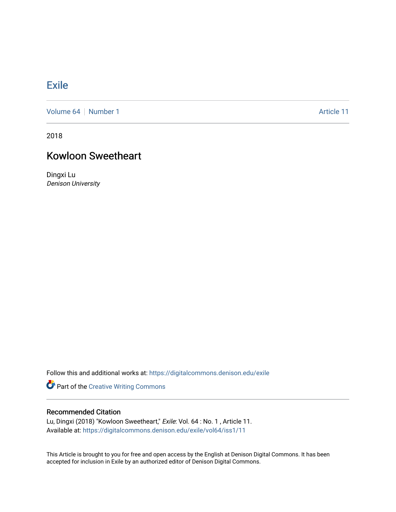## **[Exile](https://digitalcommons.denison.edu/exile)**

[Volume 64](https://digitalcommons.denison.edu/exile/vol64) [Number 1](https://digitalcommons.denison.edu/exile/vol64/iss1) Article 11

2018

## Kowloon Sweetheart

Dingxi Lu Denison University

Follow this and additional works at: [https://digitalcommons.denison.edu/exile](https://digitalcommons.denison.edu/exile?utm_source=digitalcommons.denison.edu%2Fexile%2Fvol64%2Fiss1%2F11&utm_medium=PDF&utm_campaign=PDFCoverPages) 

Part of the [Creative Writing Commons](http://network.bepress.com/hgg/discipline/574?utm_source=digitalcommons.denison.edu%2Fexile%2Fvol64%2Fiss1%2F11&utm_medium=PDF&utm_campaign=PDFCoverPages) 

## Recommended Citation

Lu, Dingxi (2018) "Kowloon Sweetheart," Exile: Vol. 64 : No. 1 , Article 11. Available at: [https://digitalcommons.denison.edu/exile/vol64/iss1/11](https://digitalcommons.denison.edu/exile/vol64/iss1/11?utm_source=digitalcommons.denison.edu%2Fexile%2Fvol64%2Fiss1%2F11&utm_medium=PDF&utm_campaign=PDFCoverPages)

This Article is brought to you for free and open access by the English at Denison Digital Commons. It has been accepted for inclusion in Exile by an authorized editor of Denison Digital Commons.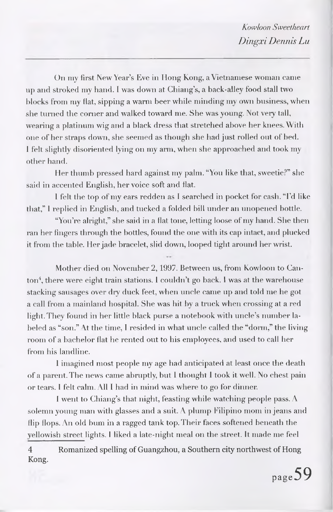On my first New Year's Eve in Hong Kong, a Vietnamese woman came up and stroked my hand. I was down at Chiang's, a back-alley food stall two blocks from my fiat, sipping a warm beer while minding my own business, when she turned the corner and walked toward me. She was young. Not very tall, wearing a platinum wig and a black dress that stretched above her knees. With one of her straps down, she seemed as though she had just rolled out of bed. <sup>1</sup> felt slightly disoriented lying on my arm, when she approached and took my other hand.

Her thumb pressed hard against my palm. "You like that, sweetie?" she said in accented English, her voice soft and flat.

<sup>1</sup> felt the top of my ears redden as <sup>I</sup> searched in pocket for cash. "I'd like that," <sup>1</sup> replied in English, and tucked a folded bill under an unopened bottle.

"You're alright," she said in a flat tone, letting loose of my hand. She then ran her fingers through the bottles, found the one with its cap intact, and plucked it from the table. Her jade bracelet, slid down, looped tight around her wrist.

Mother died on November 2, 1997. Between us, from Kowloon to Can-ton<sup>[4](#page-1-0)</sup>, there were eight train stations. I couldn't go back. I was at the warehouse stacking sausages over dry duck feet, when uncle came up and told me he got a call from a mainland hospital. She was hit by a truck when crossing at a red light. They found in her little black purse a notebook with uncle's number labeled as "son." At the time, <sup>I</sup> resided in what uncle called the "dorm," the living room of a bachelor flat he rented out to his employees, and used to call her from his landline.

<sup>1</sup> imagined most people my age had anticipated at least once the death of a parent. The news came abruptly, but I thought <sup>1</sup> took it well. No chest pain or tears. <sup>I</sup> felt calm. All I had in mind was where to go for dinner.

I went to Chiang's that night, feasting while watching people pass. A solemn young man with glasses and a suit. A plump Filipino mom in jeans and flip flops. An old bum in a ragged tank top. Their faces softened beneath the yellowish street lights. <sup>I</sup> liked a late-night meal on the street. It made me feel

<span id="page-1-0"></span>4 Romanized spelling of Guangzhou, a Southern city northwest of Hong Kong.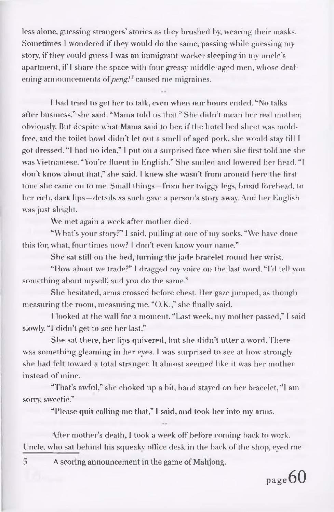less alone, guessing strangers' stories as they brushed by, wearing their masks. Sometimes I wondered if they would do the same, passing while guessing my story, if they could guess I was an immigrant worker sleeping in my uncle's apartment, if <sup>I</sup> share the space with four greasy middle-aged men, whose deafening announcements *ofpeng![5](#page-2-0)* caused me migraines.

<sup>1</sup> had tried to get her to talk, even when our hours ended. "No talks after business," she said. "Mama told us that." She didn't mean her real mother, obviously. But despite what Mama said to her, if the hotel bed sheet was moldfree, and the toilet bowl didn't let out a smell of aged pork, she would stay till <sup>I</sup> got dressed. "<sup>I</sup> had no idea," <sup>I</sup> put on a surprised face when she first told me she was Vietnamese. "You're fluent in English." She smiled and lowered her head. "<sup>I</sup> don'<sup>t</sup> know about that," she said. <sup>I</sup> knew she wasn't from around here the first time she came on to me. Small things from her twiggy legs, broad forehead, to her rich, dark lips —details as such gave a person's story away. And her English was just alright.

We met again a week after mother died.

"What's your story?" <sup>I</sup> said, pulling at one of my socks. "We have done this for, what, four times now? <sup>I</sup> don't even know your name."

She sat still on the bed, turning the jade bracelet round her wrist.

"How about we trade?" <sup>I</sup> dragged my voice on the last word. "I'd tell yon something about myself, and you do the same."

She hesitated, arms crossed before chest. Her gaze jumped, as though measuring the room, measuring me. "O.K.," she finally said.

<sup>I</sup> looked at the wall for a moment. "Last week, my mother passed," <sup>I</sup> said slowly. "I didn't get to see her last."

She sat there, her lips quivered, but she didn't utter a word. There was something gleaming in her eyes. <sup>1</sup> was surprised to see at how strongly she had felt toward a total stranger. It almost seemed like it was her mother instead of mine.

"That's awful," she choked up a bit. hand stayed on her bracelet, "<sup>1</sup> am sorry, sweetie."

"Please quit calling me that," I said, and took her into my anus.

After mother's death, <sup>1</sup> took a week off before coming back to work. Uncle, who sat behind his squeaky office desk in the back of the shop, eyed me

<span id="page-2-0"></span>5 A scoring announcement in the game of Mahjong.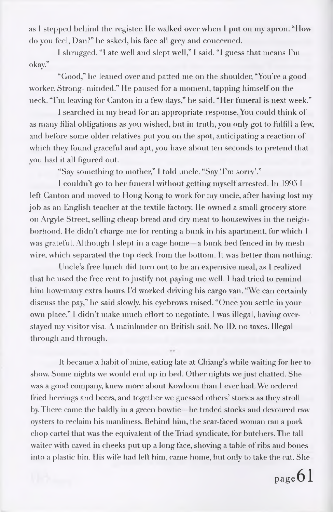as <sup>I</sup> stepped behind the register. He walked over when <sup>1</sup> put on my apron, "How do yon feel, Dan?" he asked, his face all grey and concerned.

<sup>I</sup> shrugged. "I ate well and slept well," <sup>I</sup> said. "<sup>1</sup> guess that means I'm okay."

"Good," he leaned over and patted me on the shoulder, "You're a good worker. Strong- minded." lie paused for a moment, tapping himself on the neck. "I'm leaving for Canton in a few days," he said. "Iler funeral is next week."

<sup>1</sup> searched in my head for an appropriate response. You could think of as many filial obligations as you wished, but in truth, you only got to fulfill a few, and before some older relatives put you on the spot, anticipating a reaction of which they found graceful and apt, you have about ten seconds to pretend that you had it all figured out.

"Say something to mother," I told uncle. "Say 'I'm sorry'."

<sup>1</sup> couldn't go to her funeral without getting myself arrested. In 1995 <sup>I</sup> left Canton and moved to Hong Kong to work for my uncle, after having lost my job as an English teacher at the textile factory. He owned a small grocery store on Argyle Street, selling cheap bread and dry meat to housewives in the neighborhood. He didn't charge me for renting a bunk in his apartment, for which I was grateful. Although I slept in a cage home - a bunk bed fenced in by mesh wire, which separated the top deck from the bottom. It was better than nothing.

Uncle's free lunch did turn out to be an expensive meal, as <sup>I</sup> realized that he used the free rent to justify not paying me well. I had tried to remind him how-many extra hours I'd worked driving his cargo van. "We can certainly discuss the pay," he said slowly, his eyebrows raised. "Once you settle in your own place." I didn't make much effort to negotiate. <sup>I</sup> was illegal, having overstayed my visitor visa. <sup>A</sup> mainlander on British soil. No ID, no taxes. Illegal through and through.

It became a habit of mine, eating late at Chiang's while waiting for her to show. Some nights we would end up in bed. Other nights we just chatted. She was a good company, knew more about Kowloon than 1 ever had. We ordered fried herrings and beers, and together we guessed others' stories as they stroll by. There came the baldly in a green bowtie he traded stocks and devoured raw oysters to reclaim his manliness. Behind him, the scar-faced woman ran a pork chop cartel that was the equivalent of the Triad syndicate, for butchers. The tall waiter with caved in cheeks put up a long face, shoving a table of ribs and bones into a plastic bin. His wife had left him, came home, but only to take the cat. She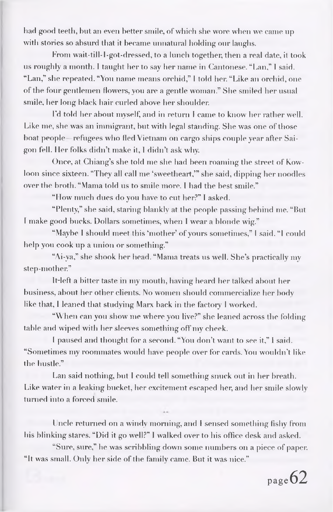had good teeth, but an even better smile, of which she wore when we came up with stories so absurd that it became unnatural holding our laughs.

From wait-till-1-got-dressed, to a lunch together, then a real date, it took us roughly a month. <sup>I</sup> taught her to say her name in Cantonese. "Lan," I said. "Lan," she repeated. "You name means orchid," <sup>I</sup> told her. "Like an orchid, one of the four gentlemen flowers, you are a gentle woman." She smiled her usual smile, her long black hair curled above her shoulder.

I'd told her about myself, and in return <sup>I</sup> came to know her rather well. Like me, she was an immigrant, but with legal standing. She was one of those boat people-refugees who fled Vietnam on cargo ships couple year after Saigon fell. Her folks didn't make it, <sup>1</sup> didn't ask why.

Once, at Chiang's she told me she had been roaming the street of Kowloon since sixteen. "They all call me 'sweetheart,'" she said, dipping her noodles over the broth. "Mama told us to smile more. <sup>I</sup> had the best smile."

"How much dues do you have to cut her?" I asked.

"Plenty," she said, staring blankly at the people passing behind me. "But I make good bucks. Dollars sometimes, when I wear a blonde wig."

"Maybe I should meet this 'mother' of yours sometimes," I said. "I could help you cook up a union or something."

"Ai-ya," she shook her head. "Mama treats us well. She's practically my step-mother."

It-left a bitter taste in my mouth, having heard her talked about her business, about her other clients. No women should commercialize her body like that, <sup>I</sup> leaned that studying Marx back in the factory <sup>I</sup> worked.

"When can you show me where you live?" she leaned across the folding table and wiped with her sleeves something off my cheek.

<sup>I</sup> paused and thought for a second. "You don't want to see it," <sup>1</sup> said. "Sometimes my roommates would have people over for cards. You wouldn't like the hustle."

Lan said nothing, but I could tell something snuck out in her breath. Like water in a leaking bucket, her excitement escaped her, and her smile slowly turned into a forced smile.

Uncle returned on a windy morning, and <sup>I</sup> sensed something fishy from his blinking stares. "Did it go well?" I walked over to his office desk and asked.

"Sure, sure," he was scribbling down some numbers on a piece of paper. "It was small. Only her side of the family came. But it was nice."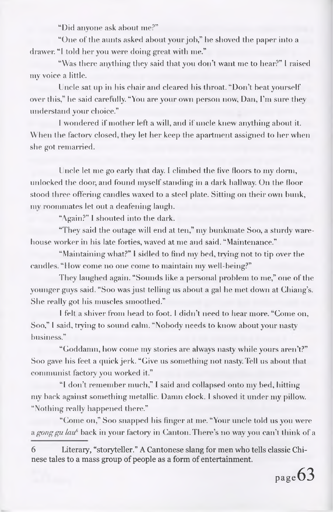"Did anyone ask about me?"

"One of the aunts asked about your job," he shoved the paper into a drawer. "<sup>I</sup> told her you were doing great with me."

"Was there anything they said that you don't want me to hear?" <sup>I</sup> raised my voice a little.

Uncle sat up in his chair and cleared his throat. "Don't beat yourself over this," he said carefully. "You are your own person now, Dan, I'm sure they understand your choice."

<sup>I</sup> wondered if mother left a will, and if uncle knew anything about it. When the factory closed, they let her keep the apartment assigned to her when she got remarried.

Uncle let me go early that day. I climbed the five floors to my dorm, unlocked the door, and found myselfstanding in a dark hallway. On the floor stood three offering candles waxed to a steel plate. Sitting on their own hunk, my roommates let out a deafening laugh.

"Again?" <sup>I</sup> shouted into the dark.

"They said the outage will end at ten," my bunkmate Soo, a sturdy warehouse worker in his late forties, waved at me and said. "Maintenance."

"Maintaining what?" <sup>I</sup> sidled to find my bed, trying not to tip over the candles. "How come no one come to maintain my well-being?"

They laughed again. "Sounds like a personal problem to me," one of the younger guys said. "Soo was just telling us about a gal he met down at Chiang's. She really got his muscles smoothed."

<sup>I</sup> felt a shiver from head to foot. <sup>I</sup> didn't need to hear more. "Come on, Soo," <sup>I</sup> said, trying to sound calm. "Nobody needs to know about your nasty business."

"Goddamn, how come my stories are always nasty while yours aren't?" Soo gave his feet a quick jerk. "Give us something not nasty. Tell us about that communist factory you worked it."

"<sup>1</sup> don't remember much," I said and collapsed onto my bed, hitting my back against something metallic. Damn clock. <sup>I</sup> shoved it under my pillow. "Nothing really happened there."

"Come on," Soo snapped his finger at me. "Your uncle told us you were *a gong gu lau<sup>6</sup>* back in your factory in Canton. There's no way you can't think of a

<sup>6</sup> Literary, "storyteller." A Cantonese slang for men who tells classic Chinese tales to a mass group of people as a form of entertainment.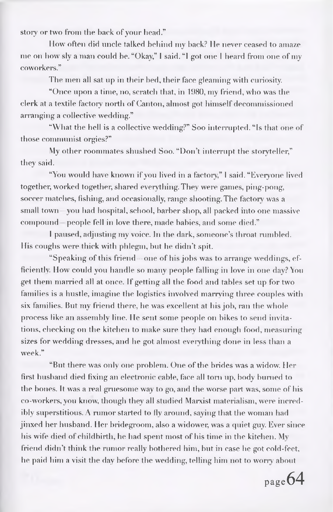story or two from the back of your head."

How often did uncle talked behind my back? He never ceased to amaze me on how sly a man could be. "Okay," I said. "I got one I heard from one of my coworkers."

The men all sat up in their bed, their face gleaming with curiosity.

"Once upon a time, no, scratch that, in 1980, my friend, who was the clerk at a textile factory north of Canton, almost got himself decommissioned arranging a collective wedding."

"What the hell is a collective wedding?" Soo interrupted. "Is that one of those communist orgies?"

My other roommates shushed Soo. "Don't interrupt the storyteller," they said.

"You would have known if you lived in a factory," I said. "Everyone lived together, worked together, shared everything. They were games, ping-pong, soccer matches, fishing, and occasionally, range shooting.The factory was a small town - you had hospital, school, barber shop, all packed into one massive compound – people fell in love there, made babies, and some died."

I paused, adjusting my voice. In the dark, someone's throat rumbled. His coughs were thick with phlegm, but he didn't spit.

"Speaking of this friend —one of his jobs was to arrange weddings, efficiently. How could you handle so many people falling in love in one day? <sup>Y</sup>ou get them married all at once. If getting all the food and tables set up for two families is a hustle, imagine the logistics involved marrying three couples with six families. But my friend there, he was excellent at his job, ran the whole process like an assembly line. He sent some people on bikes to send invitations, checking on the kitchen to make sure they had enough food, measuring sizes for wedding dresses, and he got almost everything done in less than a week."

"But there was only one problem. One of the brides was a widow. Her first husband died fixing an electronic cable, face all torn up, body burned to the bones. It was a real gruesome way to go, and the worse part was, some of his co-workers, you know, though they all studied Marxist materialism, were incredibly superstitious. A rumor started to fly around, saying that the woman had jinxed her husband. Her bridegroom, also a widower, was a quiet guy. Ever since his wife died of childbirth, he had spent most of his time in the kitchen. My friend didn't think the rumor really bothered him, but in case he got cold-feet, he paid him a visit the day before the wedding, telling him not to worry about

page64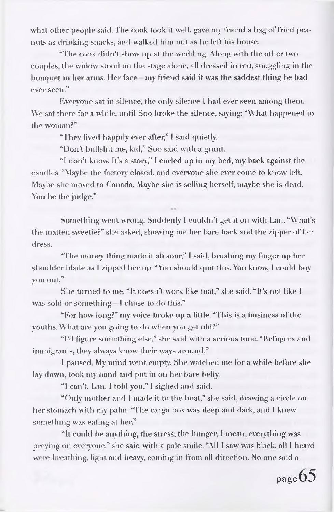what other people said. The eook took it well, gave my friend a bag of fried peanuts as drinking snacks, and walked him out as he left his house.

"The cook didn't show up at the wedding. Along with the other two couples, the widow stood on the stage alone, all dressed in red, snuggling in the bouquet in her arms. Her face my friend said it was the saddest thing he had ever seen."

Everyone sat in silence, the only silence <sup>I</sup> had ever seen among them. We sat there for a while, until Soo broke the silence, saying: "What happened to the woman?"

"They lived happily ever after," <sup>I</sup> said quietly.

"Don't bullshit me, kid," Soo said with a grunt.

"<sup>I</sup> don't know. It's a story," <sup>I</sup> curled up in my bed, my back against the candles. "Maybe the factory closed, and everyone she ever come to know left. Maybe she moved to Canada. Maybe she is selling herself, maybe she is dead. You be the judge."

Something went wrong. Suddenly <sup>1</sup> couldn't get it on with Lan. "What's the matter, sweetie?" she asked, showing me her bare back and the zipper of her dress.

"The money thing made it all sour," I said, brushing my finger up her shoulder blade as <sup>I</sup> zipped her up. "You should quit this. You know, <sup>I</sup> could buy you out."

She turned to me. "It doesn't work like that," she said. "It's not like <sup>I</sup> was sold or something - I chose to do this."

"For how long?" my voice broke up a little. "This is a business of the youths. What are you going to do when you get old?"

"I'd figure something else," she said with a serious tone. "Refugees and immigrants, they always know their ways around."

<sup>1</sup> paused. My mind went empty. She watched me for a while before she lay down, took my hand and put in on her bare belly.

"<sup>I</sup> can't, Lan. I told you," <sup>1</sup> sighed and said.

"Only mother and <sup>I</sup> made it to the boat," she said, drawing a circle on her stomach with my palm. "The cargo box was deep and dark, and <sup>I</sup> knew something was eating at her."

"It could be anything, the stress, the hunger, <sup>I</sup> mean, everything was preying on everyone." she said with a pale smile. "All <sup>1</sup> saw was black, ail <sup>1</sup> heard were breathing, light and heavy, coming in from all direction. No one said a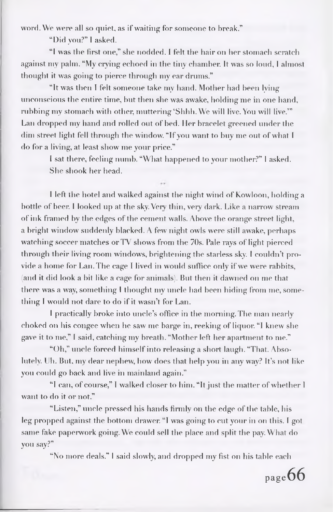word. We were all so quiet, as if waiting for someone to break."

"Did yon?" <sup>I</sup> asked.

"<sup>I</sup> was the first one," she nodded. <sup>1</sup> felt the hair on her stomach scratch against my palm. "My crying echoed in the tiny chamber. It was so lond, <sup>I</sup> almost thought it was going to pierce through my ear drums."

"It was then <sup>T</sup> felt someone take my hand. Mother had been lying unconscious the entire time, but then she was awake, holding me in one hand, rubbing my stomach with other, muttering 'Shhh. We will live. You will live.'" Lan dropped my hand and rolled out of bed. Her bracelet greened under the dim street light fell through the window. "If you want to buy me out of what I do for a living, at least show me your price."

<sup>I</sup> sat there, feeling numb. "What happened to your mother?" <sup>I</sup> asked. She shook her head.

<sup>I</sup> left the hotel and walked against the night wind of Kowloon, holding a bottle of beer. <sup>I</sup> looked up at the sky. Very thin, very dark. Like a narrow stream of ink framed by the edges of the cement walls. Above the orange street light, a bright window suddenly blacked. A few night owls were still awake, perhaps watching soccer matches or TV shows from the 70s. Pale rays of light pierced through their living room windows, brightening the starless sky. <sup>I</sup> couldn't provide a home for Lan. The cage I lived in would suffice only if we were rabbits, (and it did look a bit like a cage for animals). But then it dawned on me that there was a way, something <sup>I</sup> thought my uncle had been hiding from me, something I would not dare to do if it wasn't for Lan.

<sup>I</sup> practically broke into uncle's office in the morning. The man nearly choked on his congee when he saw me barge in, reeking of liquor. "I knew she gave it to me," <sup>I</sup> said, catching my breath. "Mother left her apartment to me."

"Oh," uncle forced himselfinto releasing a short laugh. "That. Absolutely. Uh. But, my dear nephew, how does that help you in any way? It's not like you could go back and live in mainland again."

"<sup>I</sup> can, of course," <sup>1</sup> walked closer to him. "It just the matter ofwhether <sup>I</sup> want to do it or not."

"Listen," uncle pressed his hands firmly on the edge of the table, his leg propped against the bottom drawer. "I was going to cut your in on this. <sup>I</sup> got same fake paperwork going. We could sell the place and split the pay. What do you say?"

"No more deals." <sup>I</sup> said slowly, and dropped my fist on his table each